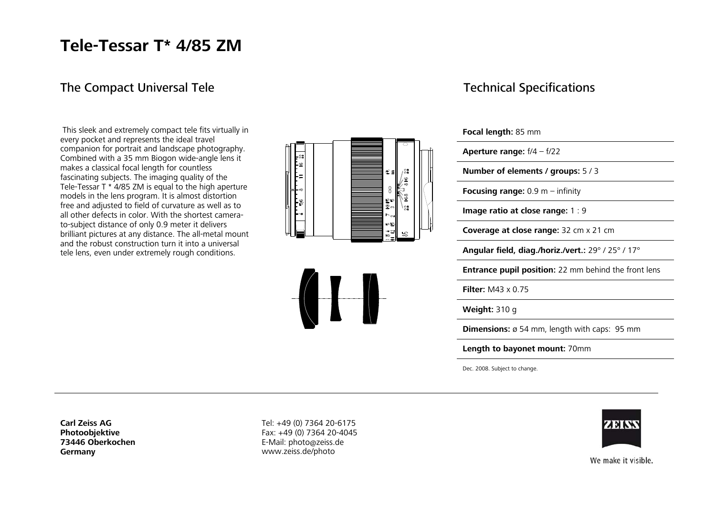## **Tele-Tessar T\* 4/85 ZM**

### The Compact Universal Tele

 This sleek and extremely compact tele fits virtually in every pocket and represents the ideal travel companion for portrait and landscape photography. Combined with a 35 mm Biogon wide-angle lens it makes a classical focal length for countless fascinating subjects. The imaging quality of the Tele-Tessar T \* 4/85 ZM is equal to the high aperture models in the lens program. It is almost distortion free and adjusted to field of curvature as well as to all other defects in color. With the shortest camerato-subject distance of only 0.9 meter it delivers brilliant pictures at any distance. The all-metal mount and the robust construction turn it into a universal tele lens, even under extremely rough conditions.





#### Technical Specifications

**Focal length:** 85 mm

| <b>Aperture range:</b> $f/4 - f/22$                         |
|-------------------------------------------------------------|
| Number of elements / groups: $5/3$                          |
| <b>Focusing range:</b> 0.9 m – infinity                     |
| Image ratio at close range: $1:9$                           |
| Coverage at close range: 32 cm x 21 cm                      |
| Angular field, diag./horiz./vert.: 29° / 25° / 17°          |
| <b>Entrance pupil position:</b> 22 mm behind the front lens |
| <b>Filter:</b> M43 $\times$ 0.75                            |
| <b>Weight:</b> $310q$                                       |

**Dimensions:** ø 54 mm, length with caps: 95 mm

**Length to bayonet mount:** 70mm

Dec. 2008. Subject to change.

ZEINS

**Carl Zeiss AG Photoobjektive 73446 Oberkochen Germany**

Tel: +49 (0) 7364 20-6175 Fax: +49 (0) 7364 20-4045 E-Mail: photo@zeiss.de www.zeiss.de/photo

We make it visible.